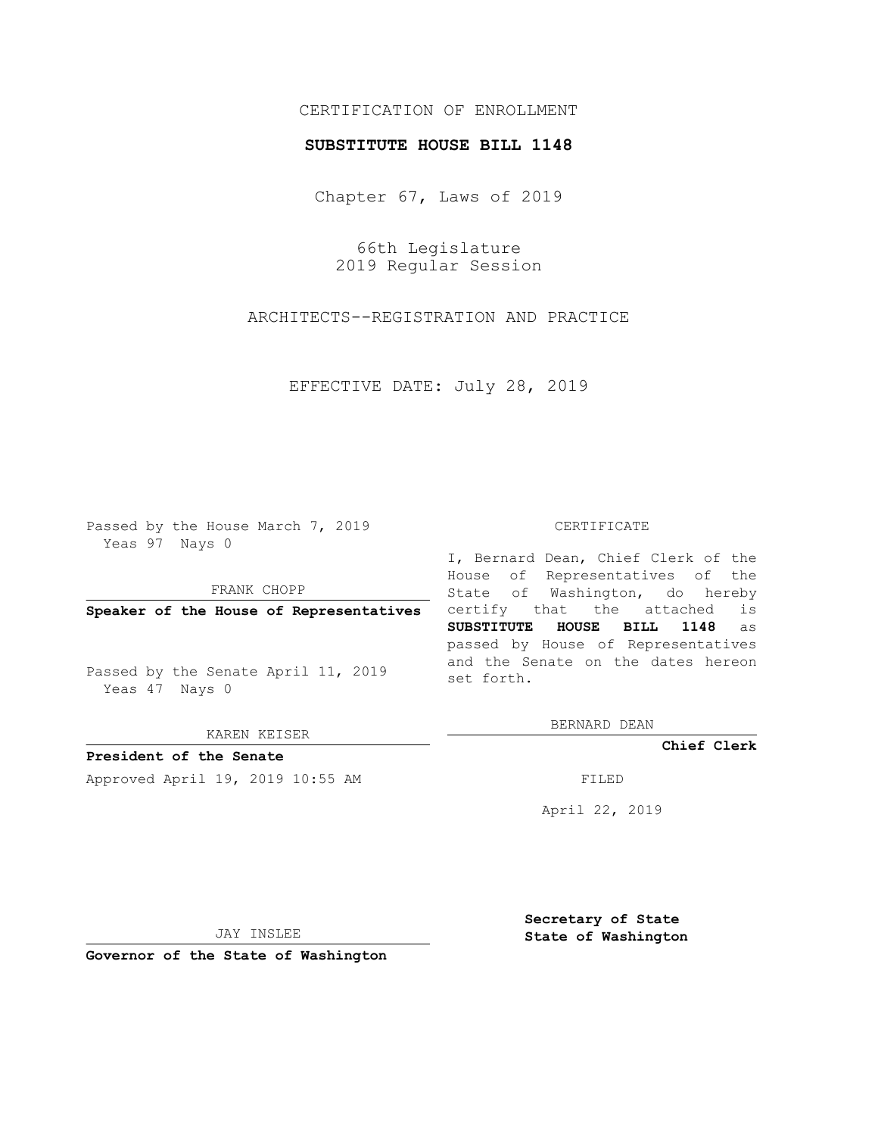## CERTIFICATION OF ENROLLMENT

## **SUBSTITUTE HOUSE BILL 1148**

Chapter 67, Laws of 2019

66th Legislature 2019 Regular Session

ARCHITECTS--REGISTRATION AND PRACTICE

EFFECTIVE DATE: July 28, 2019

Passed by the House March 7, 2019 Yeas 97 Nays 0

FRANK CHOPP

**Speaker of the House of Representatives**

Passed by the Senate April 11, 2019 Yeas 47 Nays 0

KAREN KEISER

**President of the Senate**

Approved April 19, 2019 10:55 AM FILED

## CERTIFICATE

I, Bernard Dean, Chief Clerk of the House of Representatives of the State of Washington, do hereby certify that the attached is **SUBSTITUTE HOUSE BILL 1148** as passed by House of Representatives and the Senate on the dates hereon set forth.

BERNARD DEAN

**Chief Clerk**

April 22, 2019

JAY INSLEE

**Governor of the State of Washington**

**Secretary of State State of Washington**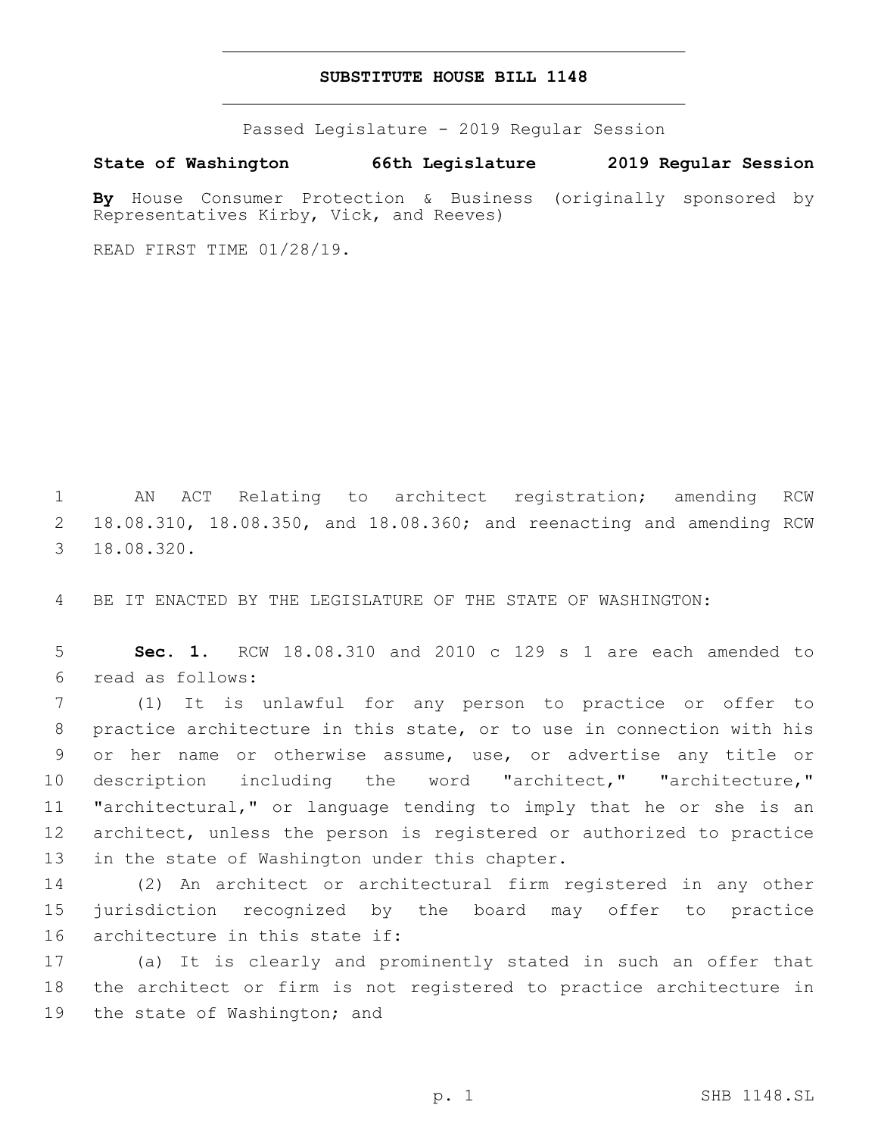## **SUBSTITUTE HOUSE BILL 1148**

Passed Legislature - 2019 Regular Session

**State of Washington 66th Legislature 2019 Regular Session**

**By** House Consumer Protection & Business (originally sponsored by Representatives Kirby, Vick, and Reeves)

READ FIRST TIME 01/28/19.

1 AN ACT Relating to architect registration; amending RCW 2 18.08.310, 18.08.350, and 18.08.360; and reenacting and amending RCW 18.08.320.3

4 BE IT ENACTED BY THE LEGISLATURE OF THE STATE OF WASHINGTON:

5 **Sec. 1.** RCW 18.08.310 and 2010 c 129 s 1 are each amended to read as follows:6

 (1) It is unlawful for any person to practice or offer to practice architecture in this state, or to use in connection with his or her name or otherwise assume, use, or advertise any title or 10 description including the word "architect," "architecture," "architectural," or language tending to imply that he or she is an architect, unless the person is registered or authorized to practice 13 in the state of Washington under this chapter.

14 (2) An architect or architectural firm registered in any other 15 jurisdiction recognized by the board may offer to practice 16 architecture in this state if:

17 (a) It is clearly and prominently stated in such an offer that 18 the architect or firm is not registered to practice architecture in 19 the state of Washington; and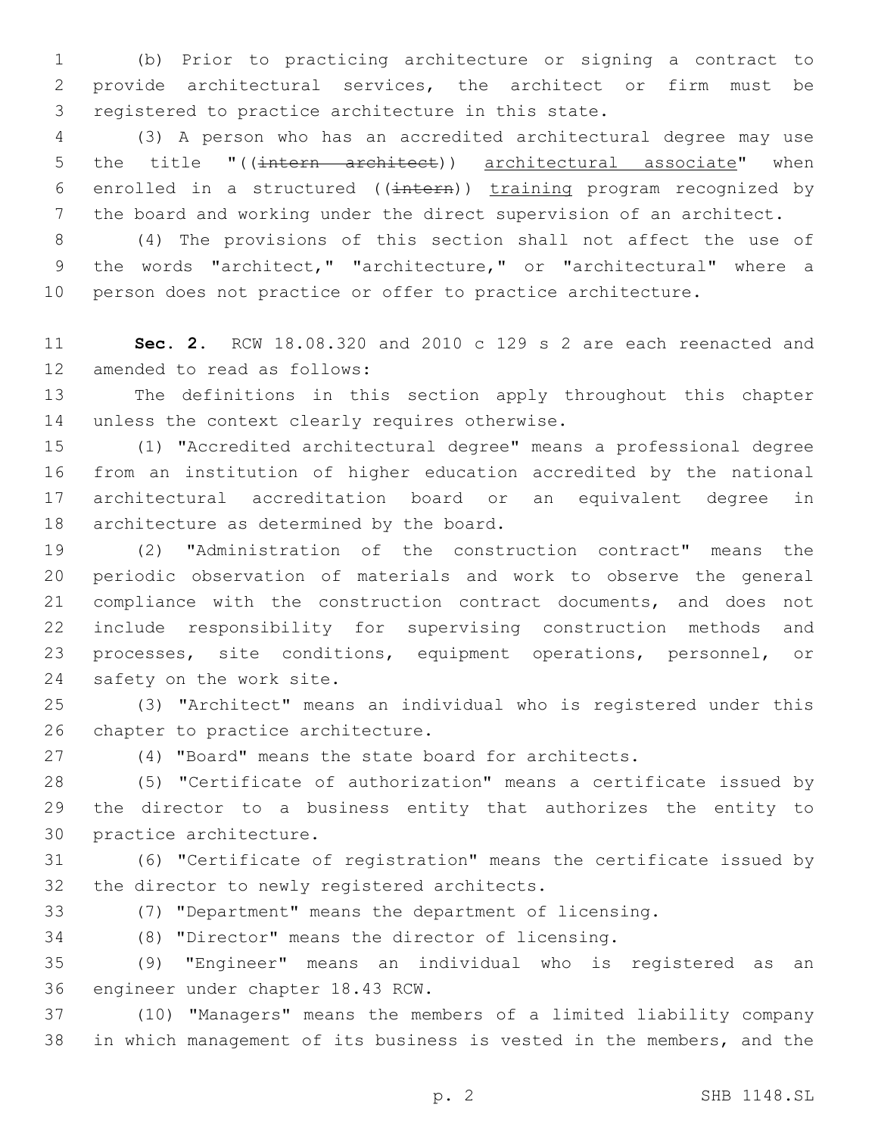(b) Prior to practicing architecture or signing a contract to provide architectural services, the architect or firm must be 3 registered to practice architecture in this state.

 (3) A person who has an accredited architectural degree may use 5 the title "((intern architect)) architectural associate" when 6 enrolled in a structured ((intern)) training program recognized by the board and working under the direct supervision of an architect.

 (4) The provisions of this section shall not affect the use of the words "architect," "architecture," or "architectural" where a person does not practice or offer to practice architecture.

 **Sec. 2.** RCW 18.08.320 and 2010 c 129 s 2 are each reenacted and 12 amended to read as follows:

 The definitions in this section apply throughout this chapter 14 unless the context clearly requires otherwise.

 (1) "Accredited architectural degree" means a professional degree from an institution of higher education accredited by the national architectural accreditation board or an equivalent degree in 18 architecture as determined by the board.

 (2) "Administration of the construction contract" means the periodic observation of materials and work to observe the general compliance with the construction contract documents, and does not include responsibility for supervising construction methods and processes, site conditions, equipment operations, personnel, or 24 safety on the work site.

 (3) "Architect" means an individual who is registered under this 26 chapter to practice architecture.

(4) "Board" means the state board for architects.

 (5) "Certificate of authorization" means a certificate issued by the director to a business entity that authorizes the entity to 30 practice architecture.

 (6) "Certificate of registration" means the certificate issued by 32 the director to newly registered architects.

(7) "Department" means the department of licensing.

(8) "Director" means the director of licensing.

 (9) "Engineer" means an individual who is registered as an 36 engineer under chapter 18.43 RCW.

 (10) "Managers" means the members of a limited liability company in which management of its business is vested in the members, and the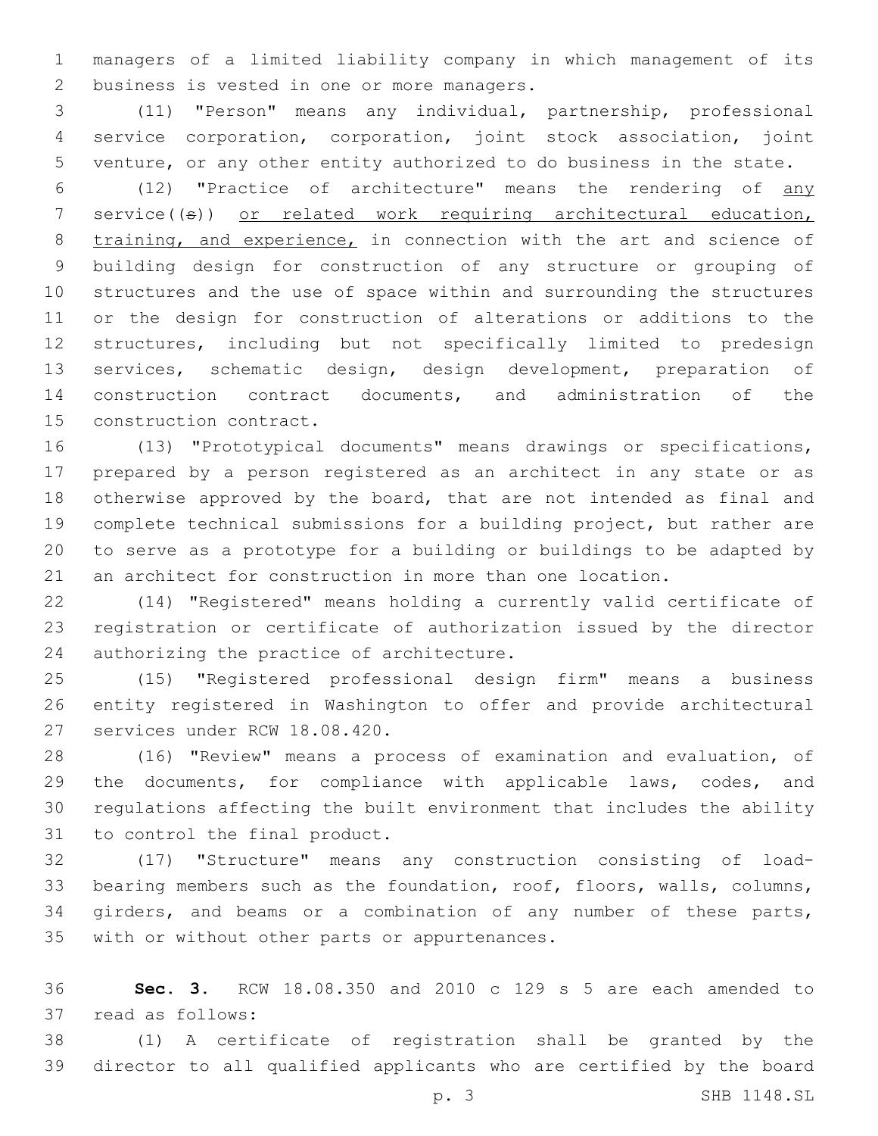managers of a limited liability company in which management of its 2 business is vested in one or more managers.

 (11) "Person" means any individual, partnership, professional service corporation, corporation, joint stock association, joint venture, or any other entity authorized to do business in the state.

 (12) "Practice of architecture" means the rendering of any 7 service $(\Theta)$  or related work requiring architectural education, 8 training, and experience, in connection with the art and science of building design for construction of any structure or grouping of structures and the use of space within and surrounding the structures or the design for construction of alterations or additions to the structures, including but not specifically limited to predesign services, schematic design, design development, preparation of construction contract documents, and administration of the 15 construction contract.

 (13) "Prototypical documents" means drawings or specifications, prepared by a person registered as an architect in any state or as otherwise approved by the board, that are not intended as final and complete technical submissions for a building project, but rather are to serve as a prototype for a building or buildings to be adapted by an architect for construction in more than one location.

 (14) "Registered" means holding a currently valid certificate of registration or certificate of authorization issued by the director 24 authorizing the practice of architecture.

 (15) "Registered professional design firm" means a business entity registered in Washington to offer and provide architectural 27 services under RCW 18.08.420.

 (16) "Review" means a process of examination and evaluation, of the documents, for compliance with applicable laws, codes, and regulations affecting the built environment that includes the ability 31 to control the final product.

 (17) "Structure" means any construction consisting of load- bearing members such as the foundation, roof, floors, walls, columns, girders, and beams or a combination of any number of these parts, 35 with or without other parts or appurtenances.

 **Sec. 3.** RCW 18.08.350 and 2010 c 129 s 5 are each amended to 37 read as follows:

 (1) A certificate of registration shall be granted by the director to all qualified applicants who are certified by the board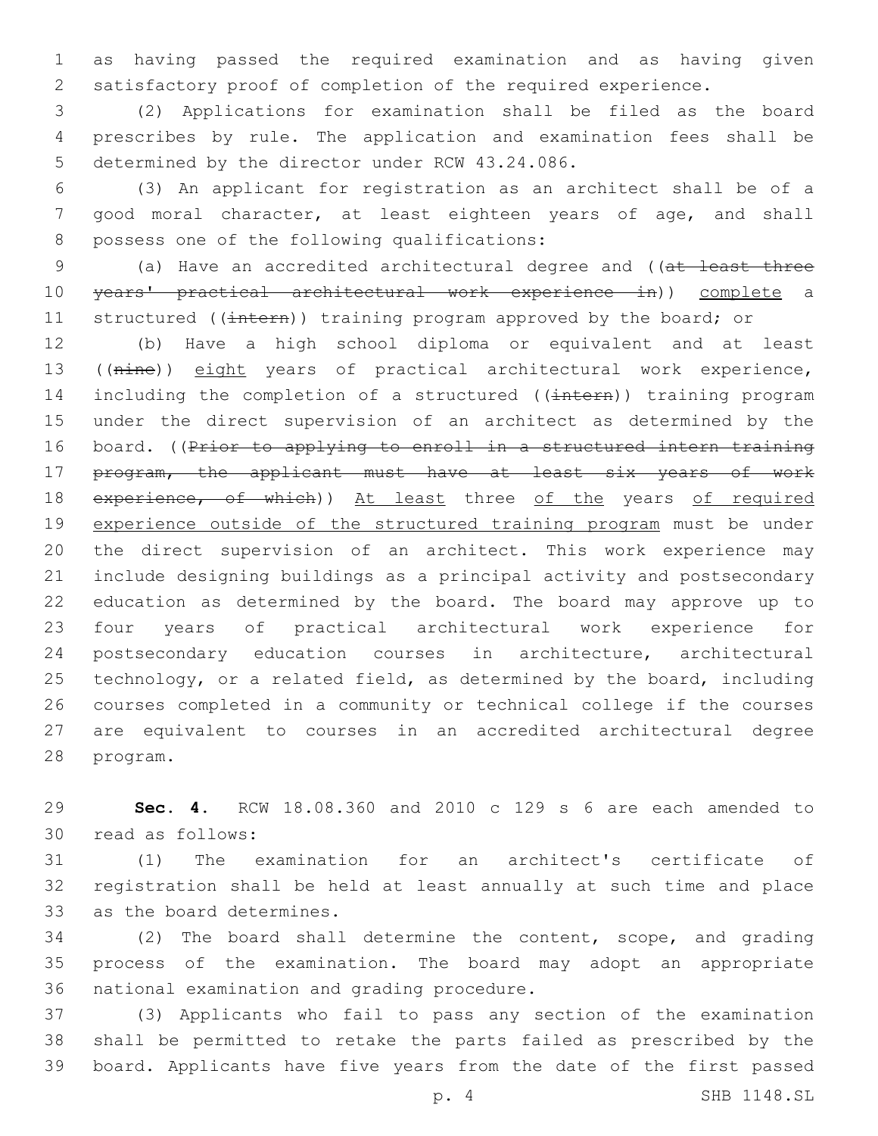as having passed the required examination and as having given satisfactory proof of completion of the required experience.

 (2) Applications for examination shall be filed as the board prescribes by rule. The application and examination fees shall be 5 determined by the director under RCW 43.24.086.

 (3) An applicant for registration as an architect shall be of a good moral character, at least eighteen years of age, and shall 8 possess one of the following qualifications:

 (a) Have an accredited architectural degree and ((at least three years' practical architectural work experience in)) complete a 11 structured ((intern)) training program approved by the board; or

 (b) Have a high school diploma or equivalent and at least 13 ((nine)) eight years of practical architectural work experience, 14 including the completion of a structured ((intern)) training program under the direct supervision of an architect as determined by the 16 board. ((Prior to applying to enroll in a structured intern training program, the applicant must have at least six years of work 18 experience, of which)) At least three of the years of required experience outside of the structured training program must be under the direct supervision of an architect. This work experience may include designing buildings as a principal activity and postsecondary education as determined by the board. The board may approve up to four years of practical architectural work experience for postsecondary education courses in architecture, architectural technology, or a related field, as determined by the board, including courses completed in a community or technical college if the courses are equivalent to courses in an accredited architectural degree 28 program.

 **Sec. 4.** RCW 18.08.360 and 2010 c 129 s 6 are each amended to read as follows:30

 (1) The examination for an architect's certificate of registration shall be held at least annually at such time and place 33 as the board determines.

 (2) The board shall determine the content, scope, and grading process of the examination. The board may adopt an appropriate 36 national examination and grading procedure.

 (3) Applicants who fail to pass any section of the examination shall be permitted to retake the parts failed as prescribed by the board. Applicants have five years from the date of the first passed

p. 4 SHB 1148.SL